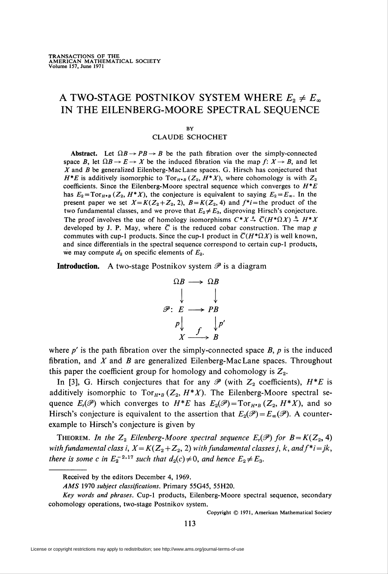# A TWO-STAGE POSTNIKOV SYSTEM WHERE  $E_2 \neq E_{\infty}$ IN THE EILENBERG-MOORE SPECTRAL SEQUENCE

#### BY

### CLAUDE SCHOCHET

Abstract. Let  $\Omega B \rightarrow PB \rightarrow B$  be the path fibration over the simply-connected space B, let  $\Omega B \to E \to X$  be the induced fibration via the map  $f: X \to B$ , and let X and B be generalized Eilenberg-MacLane spaces. G. Hirsch has conjectured that  $H^*E$  is additively isomorphic to  $Tor_{H^*B}(Z_2, H^*X)$ , where cohomology is with  $Z_2$ coefficients. Since the Eilenberg-Moore spectral sequence which converges to  $H^*E$ has  $E_2 = \text{Tor}_{H \cdot B}(Z_2, H^*X)$ , the conjecture is equivalent to saying  $E_2 = E_\infty$ . In the present paper we set  $X=K(Z_2+Z_2, 2)$ ,  $B=K(Z_2, 4)$  and  $f^*=$  the product of the two fundamental classes, and we prove that  $E_2 \neq E_3$ , disproving Hirsch's conjecture. The proof involves the use of homology isomorphisms  $C^*X \stackrel{g}{\rightarrow} \overline{C}(H^*\Omega X) \stackrel{h}{\rightarrow} H^*X$ developed by J. P. May, where  $\overline{C}$  is the reduced cobar construction. The map g commutes with cup-1 products. Since the cup-1 product in  $\overline{C}(H^*\Omega X)$  is well known, and since differentials in the spectral sequence correspond to certain cup-1 products, we may compute  $d_2$  on specific elements of  $E_2$ .

**Introduction.** A two-stage Postnikov system  $\mathscr P$  is a diagram

$$
\Omega B \longrightarrow \Omega B
$$
  

$$
\mathscr{P}: E \longrightarrow PB
$$
  

$$
P \downarrow \qquad \qquad \downarrow P'
$$
  

$$
X \longrightarrow B
$$

where  $p'$  is the path fibration over the simply-connected space  $B$ ,  $p$  is the induced fibration, and  $X$  and  $B$  are generalized Eilenberg-MacLane spaces. Throughout this paper the coefficient group for homology and cohomology is  $Z_2$ .

In [3], G. Hirsch conjectures that for any  $\mathscr P$  (with  $Z_2$  coefficients),  $H^*E$  is additively isomorphic to  $Tor_{H^*B} (Z_2, H^*X)$ . The Eilenberg-Moore spectral sequence  $E_r(\mathscr{P})$  which converges to  $H^*E$  has  $E_2(\mathscr{P}) = \text{Tor}_{H^*B}(Z_2, H^*X)$ , and so Hirsch's conjecture is equivalent to the assertion that  $E_2(\mathscr{P}) = E_\infty(\mathscr{P})$ . A counterexample to Hirsch's conjecture is given by

THEOREM. In the  $Z_2$  Eilenberg-Moore spectral sequence  $E_r(\mathscr{P})$  for  $B = K(Z_2, 4)$ with fundamental class i,  $X=K(Z_2+Z_2, 2)$  with fundamental classes j, k, and  $f^*=jk$ , there is some c in  $E_2^{-2,17}$  such that  $d_2(c) \neq 0$ , and hence  $E_2 \neq E_3$ .

\_

Copyright © 1971, American Mathematical Society

Received by the editors December 4, 1969.

AMS 1970 subject classifications. Primary 55G45, 55H20.

Key words and phrases. Cup-1 products, Eilenberg-Moore spectral sequence, secondary cohomology operations, two-stage Postnikov system.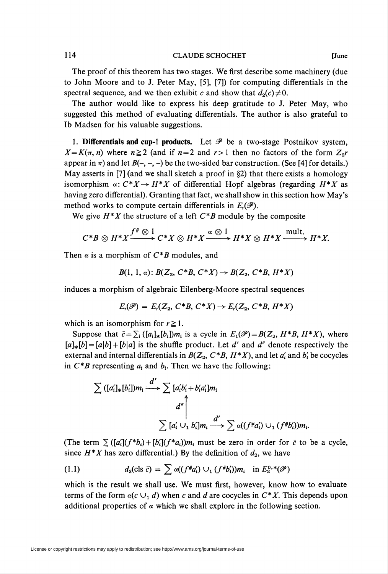## 114 CLAUDE SCHOCHET [June

The proof of this theorem has two stages. We first describe some machinery (due to John Moore and to J. Peter May, [5], [7]) for computing differentials in the spectral sequence, and we then exhibit c and show that  $d_2(c) \neq 0$ .

The author would like to express his deep gratitude to J. Peter May, who suggested this method of evaluating differentials. The author is also grateful to lb Madsen for his valuable suggestions.

1. Differentials and cup-1 products. Let  $\mathscr P$  be a two-stage Postnikov system,  $X = K(\pi, n)$  where  $n \ge 2$  (and if  $n = 2$  and  $r > 1$  then no factors of the form  $Z_2r$ appear in  $\pi$ ) and let  $B(-, -, -)$  be the two-sided bar construction. (See [4] for details.) May asserts in [7] (and we shall sketch a proof in §2) that there exists a homology isomorphism  $\alpha: C^*X \to H^*X$  of differential Hopf algebras (regarding  $H^*X$  as having zero differential). Granting that fact, we shall show in this section how May's method works to compute certain differentials in  $E_{\iota}(\mathscr{P})$ .

We give  $H^*X$  the structure of a left  $C^*B$  module by the composite

$$
C^*B \otimes H^*X \xrightarrow{f^* \otimes 1} C^*X \otimes H^*X \xrightarrow{\alpha \otimes 1} H^*X \otimes H^*X \xrightarrow{\text{mult.}} H^*X
$$

Then  $\alpha$  is a morphism of  $C^*B$  modules, and

 $B(1, 1, \alpha)$ :  $B(Z_2, C^*B, C^*X) \to B(Z_2, C^*B, H^*X)$ 

induces a morphism of algebraic Eilenberg-Moore spectral sequences

$$
E_r(\mathscr{P})=E_r(Z_2,\,C^*B,\,C^*X)\rightarrow E_r(Z_2,\,C^*B,\,H^*X)
$$

which is an isomorphism for  $r \geq 1$ .

Suppose that  $\bar{c} = \sum_i ([a_i]_*[b_i])m_i$  is a cycle in  $E_1(\mathscr{P}) = B(Z_2, H^*B, H^*X)$ , where  $[a]_*[b] = [a|b] + [b|a]$  is the shuffle product. Let d' and d'' denote respectively the external and internal differentials in  $B(Z_2, C^*B, H^*X)$ , and let  $a'_i$  and  $b'_i$  be cocycles in  $C^*B$  representing  $a_i$  and  $b_i$ . Then we have the following:

$$
\sum ([a'_i]_* [b'_i])m_i \xrightarrow{d'} \sum [a'_i b'_i + b'_i a'_i]m_i
$$

$$
d'' \Bigg|_{\sum [a'_i \cup_1 b'_i]m_i} \xrightarrow{d'} \sum \alpha((f^* a'_i) \cup_1 (f^* b'_i))m_i.
$$

(The term  $\sum ([\alpha_i](f^*b_i) + [b_i'](f^*a_i))m_i$  must be zero in order for  $\bar{c}$  to be a cycle, since  $H^*X$  has zero differential.) By the definition of  $d_2$ , we have

(1.1) 
$$
d_2(\text{cls } \bar{c}) = \sum \alpha((f^{\#}a'_i) \cup_1 (f^{\#}b'_i))m_i \text{ in } E_2^{0,*}(\mathscr{P})
$$

which is the result we shall use. We must first, however, know how to evaluate terms of the form  $\alpha(c \cup_1 d)$  when c and d are cocycles in  $C^*X$ . This depends upon additional properties of  $\alpha$  which we shall explore in the following section.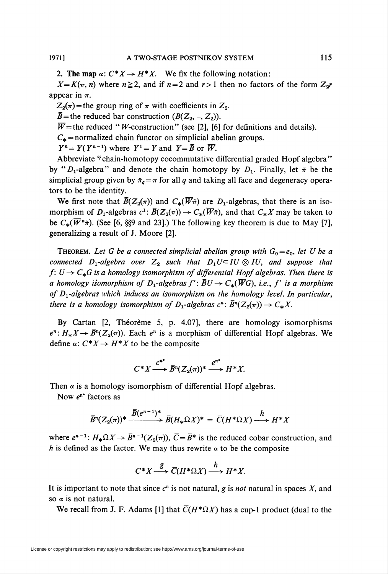2. The map  $\alpha: C^*X \to H^*X$ . We fix the following notation:

 $X=K(\pi, n)$  where  $n\geq 2$ , and if  $n=2$  and  $r>1$  then no factors of the form  $Z_{2}r$ appear in  $\pi$ .

 $Z_2(\pi)$  = the group ring of  $\pi$  with coefficients in  $Z_2$ .

 $\bar{B}$  = the reduced bar construction  $(B(Z_2, -, Z_2)).$ 

 $\overline{W}$ =the reduced " *W*-construction" (see [2], [6] for definitions and details).

 $C_*$  = normalized chain functor on simplicial abelian groups.

 $Y^n = Y(Y^{n-1})$  where  $Y^1 = Y$  and  $Y = \overline{B}$  or  $\overline{W}$ .

Abbreviate "chain-homotopy cocommutative differential graded Hopf algebra" by " $D_1$ -algebra" and denote the chain homotopy by  $D_1$ . Finally, let  $\tilde{\pi}$  be the simplicial group given by  $\tilde{\pi}_q = \pi$  for all q and taking all face and degeneracy operators to be the identity.

We first note that  $\bar{B}(Z_2(\pi))$  and  $C_{*}(\overline{W}\tilde{\pi})$  are  $D_1$ -algebras, that there is an isomorphism of  $D_1$ -algebras  $c^1$ :  $\bar{B}(Z_2(\pi)) \to C_*(\overline{W}\pi)$ , and that  $C_*X$  may be taken to be  $C_*(\overline{W}^n\tilde{\pi})$ . (See [6, §§9 and 23].) The following key theorem is due to May [7], generalizing a result of J. Moore [2].

THEOREM. Let G be a connected simplicial abelian group with  $G_0 = e_0$ , let U be a connected  $D_1$ -algebra over  $Z_2$  such that  $D_1 U \subset I U \otimes I U$ , and suppose that  $f: U \to C_*G$  is a homology isomorphism of differential Hopf algebras. Then there is a homology isomorphism of  $D_1$ -algebras  $f' : \overline{B}U \to C_*(\overline{W}G)$ , i.e., f' is a morphism of  $D_1$ -algebras which induces an isomorphism on the homology level. In particular, there is a homology isomorphism of  $D_1$ -algebras  $c^n: \overline{B}^n(Z_2(\pi)) \to C_*X$ .

By Cartan [2, Théorème 5, p. 4.07], there are homology isomorphisms  $e^n: H_*X \to \overline{B}^n(Z_2(\pi))$ . Each  $e^n$  is a morphism of differential Hopf algebras. We define  $\alpha$ :  $C^* X \rightarrow H^* X$  to be the composite

$$
C^*X \xrightarrow{C^{n^*}} \overline{B}^n(Z_2(\pi))^* \xrightarrow{e^{n^*}} H^*X.
$$

Then  $\alpha$  is a homology isomorphism of differential Hopf algebras.

Now  $e^{n^*}$  factors as

$$
\overline{B}^n(Z_2(\pi))^* \xrightarrow{\overline{B}(e^{n-1})^*} \overline{B}(H_*\Omega X)^* = \overline{C}(H^*\Omega X) \xrightarrow{h} H^*X
$$

where  $e^{n-1}: H_*\Omega X \to \overline{B}^{n-1}(Z_2(\pi))$ ,  $\overline{C}=\overline{B}^*$  is the reduced cobar construction, and h is defined as the factor. We may thus rewrite  $\alpha$  to be the composite

$$
C^*X \xrightarrow{g} \overline{C}(H^*\Omega X) \xrightarrow{h} H^*X.
$$

It is important to note that since  $c<sup>n</sup>$  is not natural, g is *not* natural in spaces X, and so  $\alpha$  is not natural.

We recall from J. F. Adams [1] that  $\overline{C}(H^*\Omega X)$  has a cup-1 product (dual to the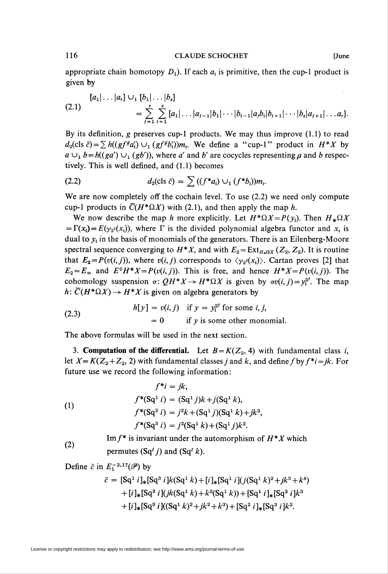#### 116 CLAUDE SCHOCHET [June

appropriate chain homotopy  $D_1$ ). If each  $a_i$  is primitive, then the cup-1 product is given by

$$
(2.1) \quad [a_1|\ldots|a_r] \cup_1 [b_1|\ldots|b_s] = \sum_{j=1}^r \sum_{i=1}^s [a_1|\ldots|a_{j-1}|b_1|\cdots|b_{i-1}|a_j b_i|b_{i+1}|\cdots|b_s|a_{j+1}|\ldots a_r].
$$

By its definition, g preserves cup-1 products. We may thus improve (1.1) to read  $d_2(\text{cls } \bar{c}) = \sum h((gf \# a'_i) \cup_1 (gf \# b'_i))m_i$ . We define a "cup-1" product in  $H^*X$  by  $a \cup_1 b = h((ga') \cup_1 (gb'))$ , where a' and b' are cocycles representing a and b respectively. This is well defined, and (1.1) becomes

(2.2) 
$$
d_2(\text{cls } \bar{c}) = \sum ((f^*a_i) \cup_1 (f^*b_i))m_i.
$$

We are now completely off the cochain level. To use (2.2) we need only compute cup-1 products in  $\overline{C}(H^*\Omega X)$  with (2.1), and then apply the map h.

We now describe the map h more explicitly. Let  $H^*\Omega X = P(y_i)$ . Then  $H_*\Omega X$  $= \Gamma(x_i) = E(y_2<sup>i</sup>(x_i))$ , where  $\Gamma$  is the divided polynomial algebra functor and  $x_i$  is dual to  $y_i$  in the basis of monomials of the generators. There is an Eilenberg-Moore spectral sequence converging to  $H^*X$ , and with  $E_2 = \text{Ext}_{H_1,\Omega X} (Z_2, Z_2)$ . It is routine that  $E_2 = P(v(i, j))$ , where  $v(i, j)$  corresponds to  $\langle y_{2}(x_i) \rangle$ . Cartan proves [2] that  $E_2 = E_{\infty}$  and  $E^0 H^* X = P(v(i, j))$ . This is free, and hence  $H^* X = P(v(i, j))$ . The cohomology suspension  $\sigma: QH^*X \to H^*\Omega X$  is given by  $\sigma v(i,j)=y_i^{2^j}$ . The map  $h: \overline{C}(H^*\Omega X) \to H^*X$  is given on algebra generators by

(2.3) 
$$
h[y] = v(i, j) \text{ if } y = y_i^{2^j} \text{ for some } i, j,
$$

$$
= 0 \text{ if } y \text{ is some other monomial.}
$$

The above formulas will be used in the next section.

3. Computation of the differential. Let  $B = K(Z_2, 4)$  with fundamental class i, let  $X=K(Z_2+Z_2, 2)$  with fundamental classes j and k, and define f by  $f^*i=jk$ . For future use we record the following information:

(1)  
\n
$$
f^*i = jk,
$$
\n
$$
f^*(Sq^1 i) = (Sq^1 j)k + j(Sq^1 k),
$$
\n
$$
f^*(Sq^2 i) = j^2 k + (Sq^1 j)(Sq^1 k) + jk^2,
$$
\n
$$
f^*(Sq^3 i) = j^2(Sq^1 k) + (Sq^1 j)k^2.
$$

Im  $f^*$  is invariant under the automorphism of  $H^*X$  which permutes  $(Sq^{I} j)$  and  $(Sq^{I} k)$ .

Define  $\bar{c}$  in  $E_1^{-2,17}(\mathscr{P})$  by

(2)

$$
\bar{c} = [Sq1 i]_{*}[Sq3 i]k(Sq1 k) + [i]_{*}[Sq1 i] (j(Sq1 k)2 + jk3 + k4)+ [i]_{*}[Sq2 i] (jk(Sq1 k) + k2(Sq1 k)) + [Sq1 i]_{*}[Sq2 i]k3+ [i]_{*}[Sq3 i] ((Sq1 k)2 + jk2 + k3) + [Sq2 i]_{*}[Sq3 i]k2.
$$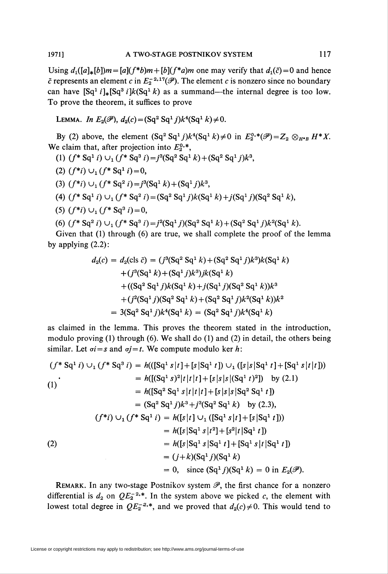Using  $d_1([a]_*[b])m=[a](f^*b)m+[b](f^*a)m$  one may verify that  $d_1(\bar{c})=0$  and hence  $\bar{c}$  represents an element c in  $E_2^{-2,17}(\mathscr{P})$ . The element c is nonzero since no boundary can have  $\left[\text{Sq}^{1} i\right]_{*}\left[\text{Sq}^{3} i\right]k\left(\text{Sq}^{1} k\right)$  as a summand—the internal degree is too low. To prove the theorem, it suffices to prove

LEMMA. In 
$$
E_2(\mathscr{P})
$$
,  $d_2(c) = (Sq^2 Sq^1 j)k^4(Sq^1 k) \neq 0$ .

By (2) above, the element  $(Sq^2 Sq^1 j)k^4(Sq^1 k) \neq 0$  in  $E_2^{0,*}(\mathscr{P}) = Z_2 \otimes_{H^*B} H^*X$ . We claim that, after projection into  $E_2^{0,*}$ ,

- (1)  $(f^* Sq^1 i) \cup_1 (f^* Sq^3 i) = j^3(Sq^2 Sq^1 k) + (Sq^2 Sq^1 i)k^3$ ,
- (2)  $(f^*i) \cup_1 (f^*Sq^1 i) = 0$ ,
- (3)  $(f^*i) \cup_1 (f^*Sq^2 i) = j^3(Sq^1 k) + (Sq^1 j)k^3$ ,
- (4)  $(f^* S q^1 i) \cup_1 (f^* S q^2 i) = (Sq^2 S q^1 j)k(Sq^1 k)+j(Sq^1 j)(Sq^2 S q^1 k),$
- (5)  $(f^*i) \cup_1 (f^*\text{Sq}^3 i) = 0$ ,

(6) 
$$
(f^* Sq^2 i) \cup_1 (f^* Sq^3 i) = j^2(Sq^1 j)(Sq^2 Sq^1 k) + (Sq^2 Sq^1 j)k^2(Sq^1 k).
$$

Given that (1) through (6) are true, we shall complete the proof of the lemma by applying (2.2):

$$
d_2(c) = d_2(cls \ \bar{c}) = (j^3(Sq^2 Sq^1 k) + (Sq^2 Sq^1 j)k^3)k(Sq^1 k)
$$
  
+ 
$$
(j^3(Sq^1 k) + (Sq^1 j)k^3)jk(Sq^1 k)
$$
  
+ 
$$
((Sq^2 Sq^1 j)k(Sq^1 k) + j(Sq^1 j)(Sq^2 Sq^1 k))k^3
$$
  
+ 
$$
(j^2(Sq^1 j)(Sq^2 Sq^1 k) + (Sq^2 Sq^1 j)k^2(Sq^1 k))k^2
$$
  
= 
$$
3(Sq^2 Sq^1 j)k^4(Sq^1 k) = (Sq^2 Sq^1 j)k^4(Sq^1 k)
$$

as claimed in the lemma. This proves the theorem stated in the introduction, modulo proving (1) through (6). We shall do (1) and (2) in detail, the others being similar. Let  $\sigma i = s$  and  $\sigma j = t$ . We compute modulo ker h:

$$
(f^* Sq^1 i) \cup_1 (f^* Sq^3 i) = h(((Sq^1 s | t] + [s | Sq^1 t]) \cup_1 ([s | s | Sq^1 t] + [Sq^1 s | t] ))
$$
  
\n
$$
= h([(Sq^1 s)^2 | t | t | t] + [s | s | s | s | (Sq^1 t)^2]) \text{ by (2.1)}
$$
  
\n
$$
= h([Sq^2 Sq^1 s | t | t | t] + [s | s | s | Sq^2 Sq^1 t])
$$
  
\n
$$
= (Sq^2 Sq^1 j)k^3 + j^3 (Sq^2 Sq^1 k) \text{ by (2.3)},
$$
  
\n
$$
(f^*i) \cup_1 (f^* Sq^1 i) = h([s | t] \cup_1 ([Sq^1 s | t] + [s | Sq^1 t]))
$$
  
\n
$$
= h([s | Sq^1 s | t^2] + [s^2 | t | Sq^1 t])
$$
  
\n
$$
= h([s | Sq^1 s | Sq^1 t] + [Sq^1 s | t | Sq^1 t])
$$
  
\n
$$
= (j + k)(Sq^1 j)(Sq^1 k)
$$
  
\n
$$
= 0, \text{ since } (Sq^1 j)(Sq^1 k) = 0 \text{ in } E_2(\mathscr{P}).
$$

REMARK. In any two-stage Postnikov system  $\mathscr{P}$ , the first chance for a nonzero differential is  $d_2$  on  $QE_2^{-2,*}$ . In the system above we picked c, the element with lowest total degree in  $QE_2^{-2,*}$ , and we proved that  $d_2(c) \neq 0$ . This would tend to